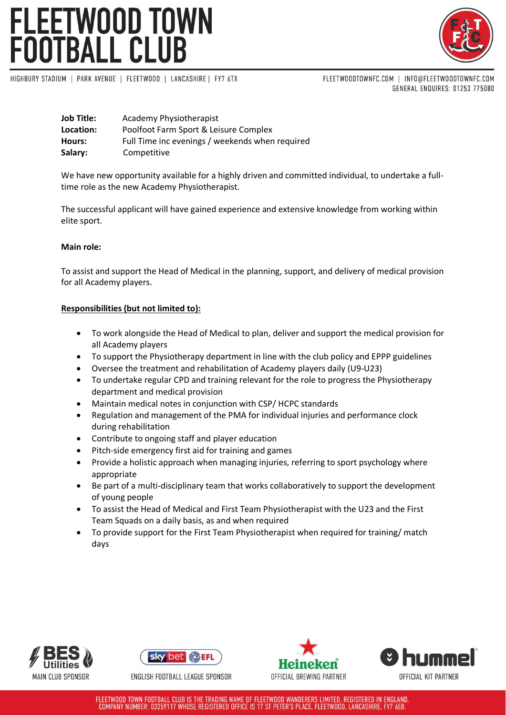# FLEETWOOD TOWN<br>FOOTBALL CLUB



HIGHBURY STADIUM | PARK AVENUE | FLEETWOOD | LANCASHIRE | FY7 6TX

FLEETWOODTOWNFC.COM | INFO@FLEETWOODTOWNFC.COM GENERAL ENQUIRES: 01253 775080

| <b>Job Title:</b> | Academy Physiotherapist                         |
|-------------------|-------------------------------------------------|
| Location:         | Poolfoot Farm Sport & Leisure Complex           |
| Hours:            | Full Time inc evenings / weekends when required |
| Salary:           | Competitive                                     |

We have new opportunity available for a highly driven and committed individual, to undertake a fulltime role as the new Academy Physiotherapist.

The successful applicant will have gained experience and extensive knowledge from working within elite sport.

# **Main role:**

To assist and support the Head of Medical in the planning, support, and delivery of medical provision for all Academy players.

# **Responsibilities (but not limited to):**

- To work alongside the Head of Medical to plan, deliver and support the medical provision for all Academy players
- To support the Physiotherapy department in line with the club policy and EPPP guidelines
- Oversee the treatment and rehabilitation of Academy players daily (U9-U23)
- To undertake regular CPD and training relevant for the role to progress the Physiotherapy department and medical provision
- Maintain medical notes in conjunction with CSP/ HCPC standards
- Regulation and management of the PMA for individual injuries and performance clock during rehabilitation
- Contribute to ongoing staff and player education
- Pitch-side emergency first aid for training and games
- Provide a holistic approach when managing injuries, referring to sport psychology where appropriate
- Be part of a multi-disciplinary team that works collaboratively to support the development of young people
- To assist the Head of Medical and First Team Physiotherapist with the U23 and the First Team Squads on a daily basis, as and when required
- To provide support for the First Team Physiotherapist when required for training/ match days









FLEETWOOD TOWN FOOTBALL CLUB IS THE TRADING NAME OF FLEETWOOD WANDERERS LIMITED, REGISTERED IN ENGLAND. COMPANY NUMBER: 03359117 WHOSE REGISTERED OFFICE IS 17 ST PETER'S PLACE, FLEETWOOD, LANCASHIRE, FY7 6EB.